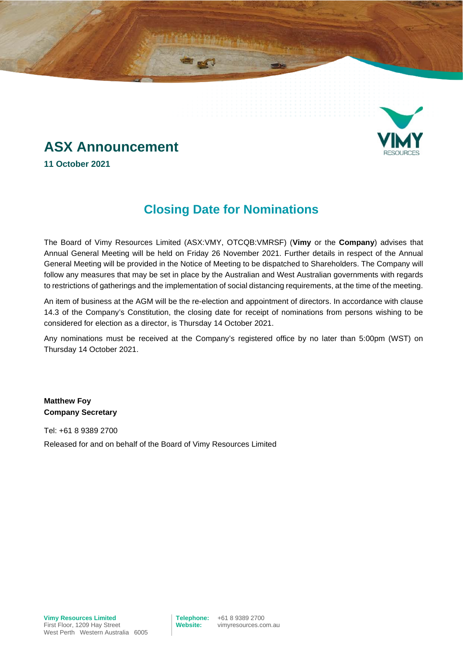

# **ASX Announcement**

**11 October 2021**

### **Closing Date for Nominations**

The Board of Vimy Resources Limited (ASX:VMY, OTCQB:VMRSF) (**Vimy** or the **Company**) advises that Annual General Meeting will be held on Friday 26 November 2021. Further details in respect of the Annual General Meeting will be provided in the Notice of Meeting to be dispatched to Shareholders. The Company will follow any measures that may be set in place by the Australian and West Australian governments with regards to restrictions of gatherings and the implementation of social distancing requirements, at the time of the meeting.

An item of business at the AGM will be the re-election and appointment of directors. In accordance with clause 14.3 of the Company's Constitution, the closing date for receipt of nominations from persons wishing to be considered for election as a director, is Thursday 14 October 2021.

Any nominations must be received at the Company's registered office by no later than 5:00pm (WST) on Thursday 14 October 2021.

**Matthew Foy Company Secretary**

Tel: +61 8 9389 2700 Released for and on behalf of the Board of Vimy Resources Limited